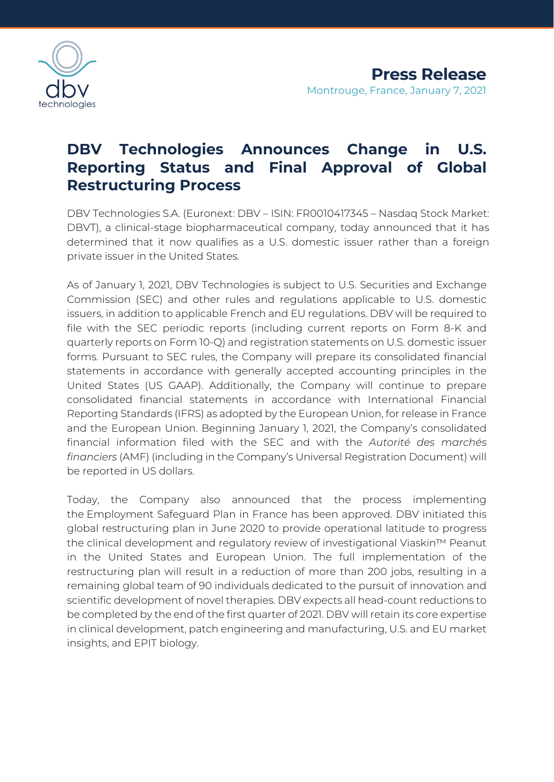

## **DBV Technologies Announces Change in U.S. Reporting Status and Final Approval of Global Restructuring Process**

DBV Technologies S.A. (Euronext: DBV – ISIN: FR0010417345 – Nasdaq Stock Market: DBVT), a clinical-stage biopharmaceutical company, today announced that it has determined that it now qualifies as a U.S. domestic issuer rather than a foreign private issuer in the United States.

As of January 1, 2021, DBV Technologies is subject to U.S. Securities and Exchange Commission (SEC) and other rules and regulations applicable to U.S. domestic issuers, in addition to applicable French and EU regulations. DBV will be required to file with the SEC periodic reports (including current reports on Form 8-K and quarterly reports on Form 10-Q) and registration statements on U.S. domestic issuer forms. Pursuant to SEC rules, the Company will prepare its consolidated financial statements in accordance with generally accepted accounting principles in the United States (US GAAP). Additionally, the Company will continue to prepare consolidated financial statements in accordance with International Financial Reporting Standards (IFRS) as adopted by the European Union, for release in France and the European Union. Beginning January 1, 2021, the Company's consolidated financial information filed with the SEC and with the *Autorité des marchés financiers* (AMF) (including in the Company's Universal Registration Document) will be reported in US dollars.

Today, the Company also announced that the process implementing the Employment Safeguard Plan in France has been approved. DBV initiated this global restructuring plan in June 2020 to provide operational latitude to progress the clinical development and regulatory review of investigational Viaskin™ Peanut in the United States and European Union. The full implementation of the restructuring plan will result in a reduction of more than 200 jobs, resulting in a remaining global team of 90 individuals dedicated to the pursuit of innovation and scientific development of novel therapies. DBV expects all head-count reductions to be completed by the end of the first quarter of 2021. DBV will retain its core expertise in clinical development, patch engineering and manufacturing, U.S. and EU market insights, and EPIT biology.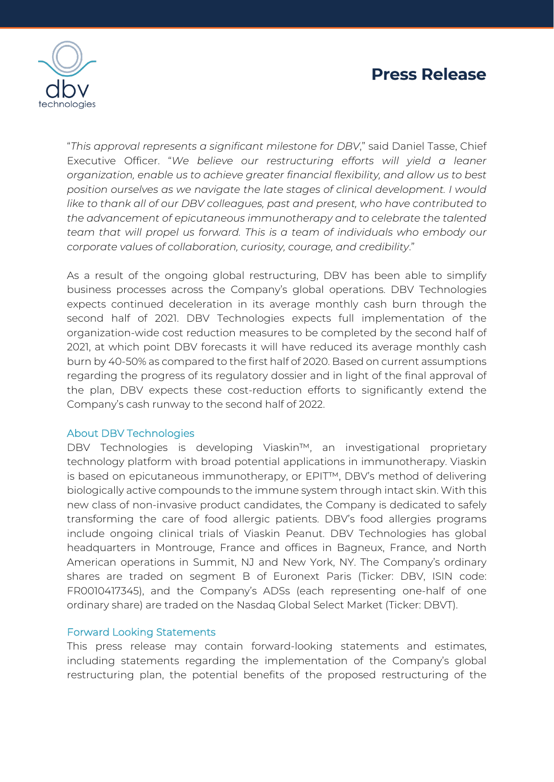

"*This approval represents a significant milestone for DBV*," said Daniel Tasse, Chief Executive Officer. "*We believe our restructuring efforts will yield a leaner organization, enable us to achieve greater financial flexibility, and allow us to best position ourselves as we navigate the late stages of clinical development. I would like to thank all of our DBV colleagues, past and present, who have contributed to the advancement of epicutaneous immunotherapy and to celebrate the talented team that will propel us forward. This is a team of individuals who embody our corporate values of collaboration, curiosity, courage, and credibility*."

As a result of the ongoing global restructuring, DBV has been able to simplify business processes across the Company's global operations. DBV Technologies expects continued deceleration in its average monthly cash burn through the second half of 2021. DBV Technologies expects full implementation of the organization-wide cost reduction measures to be completed by the second half of 2021, at which point DBV forecasts it will have reduced its average monthly cash burn by 40-50% as compared to the first half of 2020. Based on current assumptions regarding the progress of its regulatory dossier and in light of the final approval of the plan, DBV expects these cost-reduction efforts to significantly extend the Company's cash runway to the second half of 2022.

## About DBV Technologies

DBV Technologies is developing Viaskin™, an investigational proprietary technology platform with broad potential applications in immunotherapy. Viaskin is based on epicutaneous immunotherapy, or EPIT™, DBV's method of delivering biologically active compounds to the immune system through intact skin. With this new class of non-invasive product candidates, the Company is dedicated to safely transforming the care of food allergic patients. DBV's food allergies programs include ongoing clinical trials of Viaskin Peanut. DBV Technologies has global headquarters in Montrouge, France and offices in Bagneux, France, and North American operations in Summit, NJ and New York, NY. The Company's ordinary shares are traded on segment B of Euronext Paris (Ticker: DBV, ISIN code: FR0010417345), and the Company's ADSs (each representing one-half of one ordinary share) are traded on the Nasdaq Global Select Market (Ticker: DBVT).

## Forward Looking Statements

This press release may contain forward-looking statements and estimates, including statements regarding the implementation of the Company's global restructuring plan, the potential benefits of the proposed restructuring of the